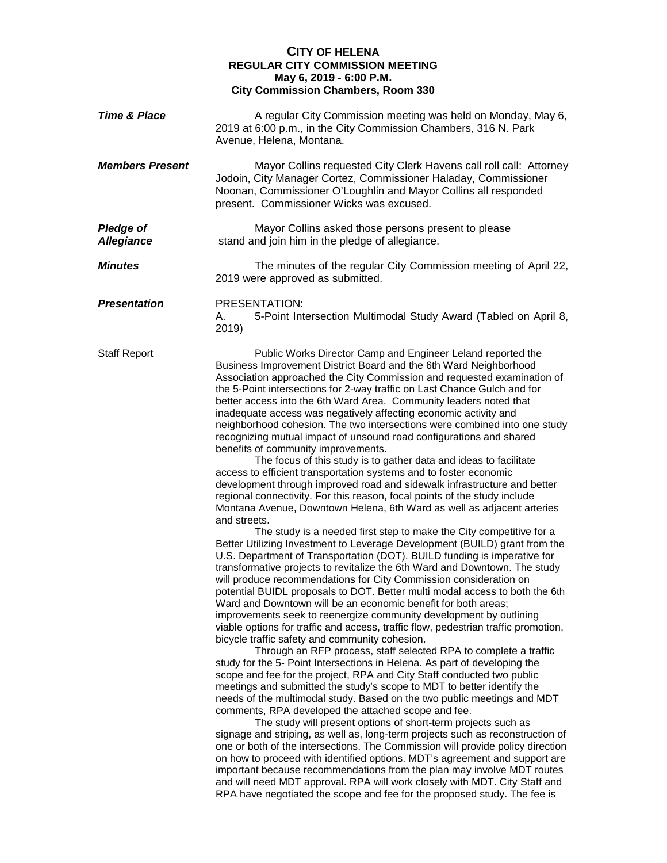## **CITY OF HELENA REGULAR CITY COMMISSION MEETING May 6, 2019 - 6:00 P.M. City Commission Chambers, Room 330**

| <b>Time &amp; Place</b>               | A regular City Commission meeting was held on Monday, May 6,<br>2019 at 6:00 p.m., in the City Commission Chambers, 316 N. Park<br>Avenue, Helena, Montana.                                                                                                                                                                                                                                                                                                                                                                                                                                                                                                                                                                                                                                                                                                                                                                                                                                                                                                                                                                                                                                                                                                                                                                                                                                                                                                                                                                                                                                                                                                                                                                                                                                                                                                                                                                                                                                                                                                                                                                                                                                                                                                                                                                                                                                                                                                                                                                                                                                                                                                                                                                                                               |
|---------------------------------------|---------------------------------------------------------------------------------------------------------------------------------------------------------------------------------------------------------------------------------------------------------------------------------------------------------------------------------------------------------------------------------------------------------------------------------------------------------------------------------------------------------------------------------------------------------------------------------------------------------------------------------------------------------------------------------------------------------------------------------------------------------------------------------------------------------------------------------------------------------------------------------------------------------------------------------------------------------------------------------------------------------------------------------------------------------------------------------------------------------------------------------------------------------------------------------------------------------------------------------------------------------------------------------------------------------------------------------------------------------------------------------------------------------------------------------------------------------------------------------------------------------------------------------------------------------------------------------------------------------------------------------------------------------------------------------------------------------------------------------------------------------------------------------------------------------------------------------------------------------------------------------------------------------------------------------------------------------------------------------------------------------------------------------------------------------------------------------------------------------------------------------------------------------------------------------------------------------------------------------------------------------------------------------------------------------------------------------------------------------------------------------------------------------------------------------------------------------------------------------------------------------------------------------------------------------------------------------------------------------------------------------------------------------------------------------------------------------------------------------------------------------------------------|
| <b>Members Present</b>                | Mayor Collins requested City Clerk Havens call roll call: Attorney<br>Jodoin, City Manager Cortez, Commissioner Haladay, Commissioner<br>Noonan, Commissioner O'Loughlin and Mayor Collins all responded<br>present. Commissioner Wicks was excused.                                                                                                                                                                                                                                                                                                                                                                                                                                                                                                                                                                                                                                                                                                                                                                                                                                                                                                                                                                                                                                                                                                                                                                                                                                                                                                                                                                                                                                                                                                                                                                                                                                                                                                                                                                                                                                                                                                                                                                                                                                                                                                                                                                                                                                                                                                                                                                                                                                                                                                                      |
| <b>Pledge of</b><br><b>Allegiance</b> | Mayor Collins asked those persons present to please<br>stand and join him in the pledge of allegiance.                                                                                                                                                                                                                                                                                                                                                                                                                                                                                                                                                                                                                                                                                                                                                                                                                                                                                                                                                                                                                                                                                                                                                                                                                                                                                                                                                                                                                                                                                                                                                                                                                                                                                                                                                                                                                                                                                                                                                                                                                                                                                                                                                                                                                                                                                                                                                                                                                                                                                                                                                                                                                                                                    |
| <b>Minutes</b>                        | The minutes of the regular City Commission meeting of April 22,<br>2019 were approved as submitted.                                                                                                                                                                                                                                                                                                                                                                                                                                                                                                                                                                                                                                                                                                                                                                                                                                                                                                                                                                                                                                                                                                                                                                                                                                                                                                                                                                                                                                                                                                                                                                                                                                                                                                                                                                                                                                                                                                                                                                                                                                                                                                                                                                                                                                                                                                                                                                                                                                                                                                                                                                                                                                                                       |
| <b>Presentation</b>                   | PRESENTATION:<br>5-Point Intersection Multimodal Study Award (Tabled on April 8,<br>А.<br>2019)                                                                                                                                                                                                                                                                                                                                                                                                                                                                                                                                                                                                                                                                                                                                                                                                                                                                                                                                                                                                                                                                                                                                                                                                                                                                                                                                                                                                                                                                                                                                                                                                                                                                                                                                                                                                                                                                                                                                                                                                                                                                                                                                                                                                                                                                                                                                                                                                                                                                                                                                                                                                                                                                           |
| <b>Staff Report</b>                   | Public Works Director Camp and Engineer Leland reported the<br>Business Improvement District Board and the 6th Ward Neighborhood<br>Association approached the City Commission and requested examination of<br>the 5-Point intersections for 2-way traffic on Last Chance Gulch and for<br>better access into the 6th Ward Area. Community leaders noted that<br>inadequate access was negatively affecting economic activity and<br>neighborhood cohesion. The two intersections were combined into one study<br>recognizing mutual impact of unsound road configurations and shared<br>benefits of community improvements.<br>The focus of this study is to gather data and ideas to facilitate<br>access to efficient transportation systems and to foster economic<br>development through improved road and sidewalk infrastructure and better<br>regional connectivity. For this reason, focal points of the study include<br>Montana Avenue, Downtown Helena, 6th Ward as well as adjacent arteries<br>and streets.<br>The study is a needed first step to make the City competitive for a<br>Better Utilizing Investment to Leverage Development (BUILD) grant from the<br>U.S. Department of Transportation (DOT). BUILD funding is imperative for<br>transformative projects to revitalize the 6th Ward and Downtown. The study<br>will produce recommendations for City Commission consideration on<br>potential BUIDL proposals to DOT. Better multi modal access to both the 6th<br>Ward and Downtown will be an economic benefit for both areas;<br>improvements seek to reenergize community development by outlining<br>viable options for traffic and access, traffic flow, pedestrian traffic promotion,<br>bicycle traffic safety and community cohesion.<br>Through an RFP process, staff selected RPA to complete a traffic<br>study for the 5- Point Intersections in Helena. As part of developing the<br>scope and fee for the project, RPA and City Staff conducted two public<br>meetings and submitted the study's scope to MDT to better identify the<br>needs of the multimodal study. Based on the two public meetings and MDT<br>comments, RPA developed the attached scope and fee.<br>The study will present options of short-term projects such as<br>signage and striping, as well as, long-term projects such as reconstruction of<br>one or both of the intersections. The Commission will provide policy direction<br>on how to proceed with identified options. MDT's agreement and support are<br>important because recommendations from the plan may involve MDT routes<br>and will need MDT approval. RPA will work closely with MDT. City Staff and<br>RPA have negotiated the scope and fee for the proposed study. The fee is |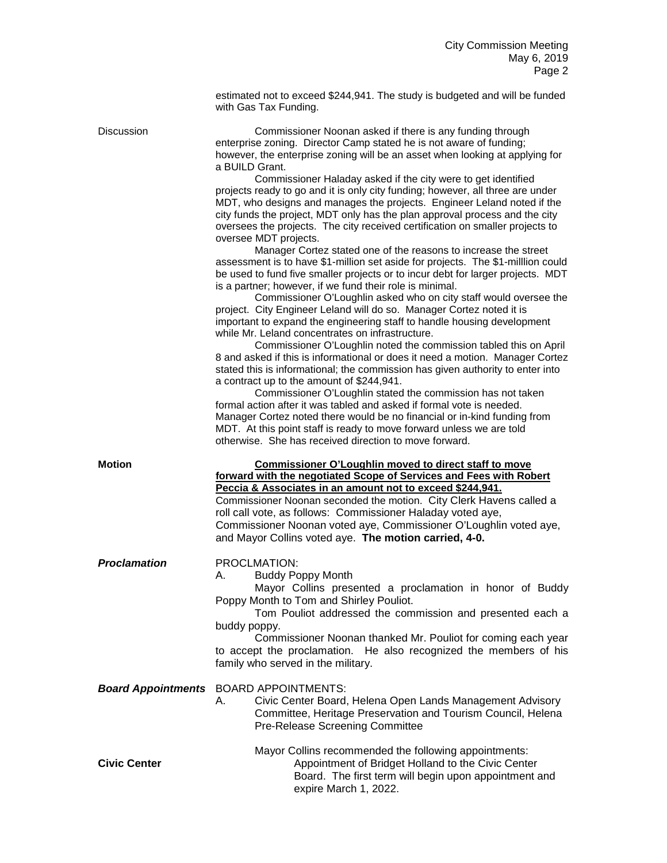|                     | estimated not to exceed \$244,941. The study is budgeted and will be funded<br>with Gas Tax Funding.                                                                                                                                                                                                                                                                                                                                                                                                                                                                                                                                                                                                                                                                                                                                                                                                                                                                                                                                                                                                                                                                                                                                                                                                                                                                                                                                                                                                                                                                                                                                                                                                                                                                                                                                                                                  |
|---------------------|---------------------------------------------------------------------------------------------------------------------------------------------------------------------------------------------------------------------------------------------------------------------------------------------------------------------------------------------------------------------------------------------------------------------------------------------------------------------------------------------------------------------------------------------------------------------------------------------------------------------------------------------------------------------------------------------------------------------------------------------------------------------------------------------------------------------------------------------------------------------------------------------------------------------------------------------------------------------------------------------------------------------------------------------------------------------------------------------------------------------------------------------------------------------------------------------------------------------------------------------------------------------------------------------------------------------------------------------------------------------------------------------------------------------------------------------------------------------------------------------------------------------------------------------------------------------------------------------------------------------------------------------------------------------------------------------------------------------------------------------------------------------------------------------------------------------------------------------------------------------------------------|
| <b>Discussion</b>   | Commissioner Noonan asked if there is any funding through<br>enterprise zoning. Director Camp stated he is not aware of funding;<br>however, the enterprise zoning will be an asset when looking at applying for<br>a BUILD Grant.<br>Commissioner Haladay asked if the city were to get identified<br>projects ready to go and it is only city funding; however, all three are under<br>MDT, who designs and manages the projects. Engineer Leland noted if the<br>city funds the project, MDT only has the plan approval process and the city<br>oversees the projects. The city received certification on smaller projects to<br>oversee MDT projects.<br>Manager Cortez stated one of the reasons to increase the street<br>assessment is to have \$1-million set aside for projects. The \$1-million could<br>be used to fund five smaller projects or to incur debt for larger projects. MDT<br>is a partner; however, if we fund their role is minimal.<br>Commissioner O'Loughlin asked who on city staff would oversee the<br>project. City Engineer Leland will do so. Manager Cortez noted it is<br>important to expand the engineering staff to handle housing development<br>while Mr. Leland concentrates on infrastructure.<br>Commissioner O'Loughlin noted the commission tabled this on April<br>8 and asked if this is informational or does it need a motion. Manager Cortez<br>stated this is informational; the commission has given authority to enter into<br>a contract up to the amount of \$244,941.<br>Commissioner O'Loughlin stated the commission has not taken<br>formal action after it was tabled and asked if formal vote is needed.<br>Manager Cortez noted there would be no financial or in-kind funding from<br>MDT. At this point staff is ready to move forward unless we are told<br>otherwise. She has received direction to move forward. |
| <b>Motion</b>       | <b>Commissioner O'Loughlin moved to direct staff to move</b><br>forward with the negotiated Scope of Services and Fees with Robert<br>Peccia & Associates in an amount not to exceed \$244,941.<br>Commissioner Noonan seconded the motion. City Clerk Havens called a<br>roll call vote, as follows: Commissioner Haladay voted aye,<br>Commissioner Noonan voted aye, Commissioner O'Loughlin voted aye,<br>and Mayor Collins voted aye. The motion carried, 4-0.                                                                                                                                                                                                                                                                                                                                                                                                                                                                                                                                                                                                                                                                                                                                                                                                                                                                                                                                                                                                                                                                                                                                                                                                                                                                                                                                                                                                                   |
| <b>Proclamation</b> | PROCLMATION:<br>A. Buddy Poppy Month<br>Mayor Collins presented a proclamation in honor of Buddy<br>Poppy Month to Tom and Shirley Pouliot.<br>Tom Pouliot addressed the commission and presented each a<br>buddy poppy.<br>Commissioner Noonan thanked Mr. Pouliot for coming each year<br>to accept the proclamation. He also recognized the members of his<br>family who served in the military.                                                                                                                                                                                                                                                                                                                                                                                                                                                                                                                                                                                                                                                                                                                                                                                                                                                                                                                                                                                                                                                                                                                                                                                                                                                                                                                                                                                                                                                                                   |
|                     | <b>Board Appointments</b> BOARD APPOINTMENTS:<br>Civic Center Board, Helena Open Lands Management Advisory<br>А.<br>Committee, Heritage Preservation and Tourism Council, Helena<br>Pre-Release Screening Committee                                                                                                                                                                                                                                                                                                                                                                                                                                                                                                                                                                                                                                                                                                                                                                                                                                                                                                                                                                                                                                                                                                                                                                                                                                                                                                                                                                                                                                                                                                                                                                                                                                                                   |
| <b>Civic Center</b> | Mayor Collins recommended the following appointments:<br>Appointment of Bridget Holland to the Civic Center<br>Board. The first term will begin upon appointment and                                                                                                                                                                                                                                                                                                                                                                                                                                                                                                                                                                                                                                                                                                                                                                                                                                                                                                                                                                                                                                                                                                                                                                                                                                                                                                                                                                                                                                                                                                                                                                                                                                                                                                                  |

expire March 1, 2022.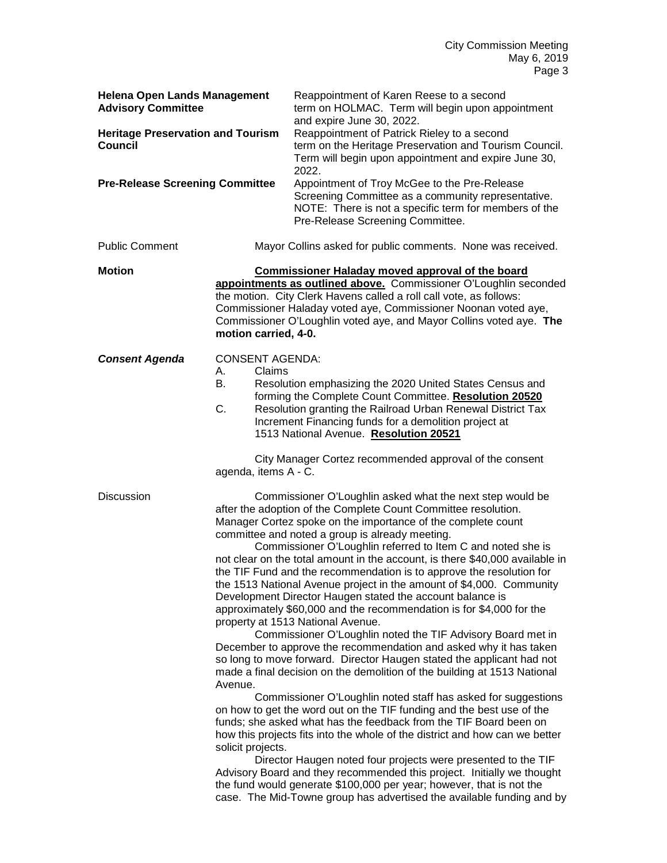| <b>Helena Open Lands Management</b><br><b>Advisory Committee</b>                                     |                                                    | Reappointment of Karen Reese to a second<br>term on HOLMAC. Term will begin upon appointment                                                                                                                                                                                                                                                                                                                                                                                                                                                                                                                                                                                                                                                                                                                                                                                                                                                                                                                     |
|------------------------------------------------------------------------------------------------------|----------------------------------------------------|------------------------------------------------------------------------------------------------------------------------------------------------------------------------------------------------------------------------------------------------------------------------------------------------------------------------------------------------------------------------------------------------------------------------------------------------------------------------------------------------------------------------------------------------------------------------------------------------------------------------------------------------------------------------------------------------------------------------------------------------------------------------------------------------------------------------------------------------------------------------------------------------------------------------------------------------------------------------------------------------------------------|
| <b>Heritage Preservation and Tourism</b><br><b>Council</b><br><b>Pre-Release Screening Committee</b> |                                                    | and expire June 30, 2022.<br>Reappointment of Patrick Rieley to a second<br>term on the Heritage Preservation and Tourism Council.<br>Term will begin upon appointment and expire June 30,<br>2022.<br>Appointment of Troy McGee to the Pre-Release                                                                                                                                                                                                                                                                                                                                                                                                                                                                                                                                                                                                                                                                                                                                                              |
|                                                                                                      |                                                    | Screening Committee as a community representative.<br>NOTE: There is not a specific term for members of the<br>Pre-Release Screening Committee.                                                                                                                                                                                                                                                                                                                                                                                                                                                                                                                                                                                                                                                                                                                                                                                                                                                                  |
| <b>Public Comment</b>                                                                                |                                                    | Mayor Collins asked for public comments. None was received.                                                                                                                                                                                                                                                                                                                                                                                                                                                                                                                                                                                                                                                                                                                                                                                                                                                                                                                                                      |
| <b>Motion</b>                                                                                        | motion carried, 4-0.                               | <b>Commissioner Haladay moved approval of the board</b><br>appointments as outlined above. Commissioner O'Loughlin seconded<br>the motion. City Clerk Havens called a roll call vote, as follows:<br>Commissioner Haladay voted aye, Commissioner Noonan voted aye,<br>Commissioner O'Loughlin voted aye, and Mayor Collins voted aye. The                                                                                                                                                                                                                                                                                                                                                                                                                                                                                                                                                                                                                                                                       |
| <b>Consent Agenda</b>                                                                                | <b>CONSENT AGENDA:</b><br>Claims<br>А.<br>В.<br>C. | Resolution emphasizing the 2020 United States Census and<br>forming the Complete Count Committee. Resolution 20520<br>Resolution granting the Railroad Urban Renewal District Tax<br>Increment Financing funds for a demolition project at<br>1513 National Avenue. Resolution 20521                                                                                                                                                                                                                                                                                                                                                                                                                                                                                                                                                                                                                                                                                                                             |
|                                                                                                      | agenda, items A - C.                               | City Manager Cortez recommended approval of the consent                                                                                                                                                                                                                                                                                                                                                                                                                                                                                                                                                                                                                                                                                                                                                                                                                                                                                                                                                          |
| <b>Discussion</b>                                                                                    |                                                    | Commissioner O'Loughlin asked what the next step would be<br>after the adoption of the Complete Count Committee resolution.<br>Manager Cortez spoke on the importance of the complete count<br>committee and noted a group is already meeting.<br>Commissioner O'Loughlin referred to Item C and noted she is<br>not clear on the total amount in the account, is there \$40,000 available in<br>the TIF Fund and the recommendation is to approve the resolution for<br>the 1513 National Avenue project in the amount of \$4,000. Community<br>Development Director Haugen stated the account balance is<br>approximately \$60,000 and the recommendation is for \$4,000 for the<br>property at 1513 National Avenue.<br>Commissioner O'Loughlin noted the TIF Advisory Board met in<br>December to approve the recommendation and asked why it has taken<br>so long to move forward. Director Haugen stated the applicant had not<br>made a final decision on the demolition of the building at 1513 National |
|                                                                                                      | Avenue.<br>solicit projects.                       | Commissioner O'Loughlin noted staff has asked for suggestions<br>on how to get the word out on the TIF funding and the best use of the<br>funds; she asked what has the feedback from the TIF Board been on<br>how this projects fits into the whole of the district and how can we better                                                                                                                                                                                                                                                                                                                                                                                                                                                                                                                                                                                                                                                                                                                       |
|                                                                                                      |                                                    | Director Haugen noted four projects were presented to the TIF<br>Advisory Board and they recommended this project. Initially we thought<br>the fund would generate \$100,000 per year; however, that is not the<br>case. The Mid-Towne group has advertised the available funding and by                                                                                                                                                                                                                                                                                                                                                                                                                                                                                                                                                                                                                                                                                                                         |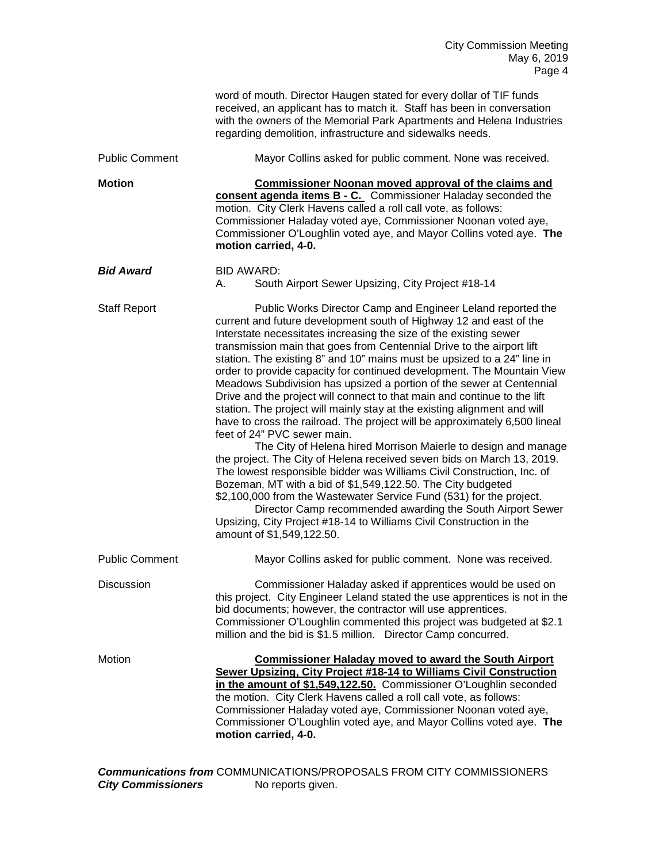|                       | word of mouth. Director Haugen stated for every dollar of TIF funds<br>received, an applicant has to match it. Staff has been in conversation<br>with the owners of the Memorial Park Apartments and Helena Industries<br>regarding demolition, infrastructure and sidewalks needs.                                                                                                                                                                                                                                                                                                                                                                                                                                                                                                                                                                                                                                                                                                                                                                                                                                                                                                                                                                                                                             |
|-----------------------|-----------------------------------------------------------------------------------------------------------------------------------------------------------------------------------------------------------------------------------------------------------------------------------------------------------------------------------------------------------------------------------------------------------------------------------------------------------------------------------------------------------------------------------------------------------------------------------------------------------------------------------------------------------------------------------------------------------------------------------------------------------------------------------------------------------------------------------------------------------------------------------------------------------------------------------------------------------------------------------------------------------------------------------------------------------------------------------------------------------------------------------------------------------------------------------------------------------------------------------------------------------------------------------------------------------------|
| <b>Public Comment</b> | Mayor Collins asked for public comment. None was received.                                                                                                                                                                                                                                                                                                                                                                                                                                                                                                                                                                                                                                                                                                                                                                                                                                                                                                                                                                                                                                                                                                                                                                                                                                                      |
| <b>Motion</b>         | <b>Commissioner Noonan moved approval of the claims and</b><br>consent agenda items B - C. Commissioner Haladay seconded the<br>motion. City Clerk Havens called a roll call vote, as follows:<br>Commissioner Haladay voted aye, Commissioner Noonan voted aye,<br>Commissioner O'Loughlin voted aye, and Mayor Collins voted aye. The<br>motion carried, 4-0.                                                                                                                                                                                                                                                                                                                                                                                                                                                                                                                                                                                                                                                                                                                                                                                                                                                                                                                                                 |
| <b>Bid Award</b>      | <b>BID AWARD:</b><br>South Airport Sewer Upsizing, City Project #18-14<br>А.                                                                                                                                                                                                                                                                                                                                                                                                                                                                                                                                                                                                                                                                                                                                                                                                                                                                                                                                                                                                                                                                                                                                                                                                                                    |
| <b>Staff Report</b>   | Public Works Director Camp and Engineer Leland reported the<br>current and future development south of Highway 12 and east of the<br>Interstate necessitates increasing the size of the existing sewer<br>transmission main that goes from Centennial Drive to the airport lift<br>station. The existing 8" and 10" mains must be upsized to a 24" line in<br>order to provide capacity for continued development. The Mountain View<br>Meadows Subdivision has upsized a portion of the sewer at Centennial<br>Drive and the project will connect to that main and continue to the lift<br>station. The project will mainly stay at the existing alignment and will<br>have to cross the railroad. The project will be approximately 6,500 lineal<br>feet of 24" PVC sewer main.<br>The City of Helena hired Morrison Maierle to design and manage<br>the project. The City of Helena received seven bids on March 13, 2019.<br>The lowest responsible bidder was Williams Civil Construction, Inc. of<br>Bozeman, MT with a bid of \$1,549,122.50. The City budgeted<br>\$2,100,000 from the Wastewater Service Fund (531) for the project.<br>Director Camp recommended awarding the South Airport Sewer<br>Upsizing, City Project #18-14 to Williams Civil Construction in the<br>amount of \$1,549,122.50. |
| <b>Public Comment</b> | Mayor Collins asked for public comment. None was received.                                                                                                                                                                                                                                                                                                                                                                                                                                                                                                                                                                                                                                                                                                                                                                                                                                                                                                                                                                                                                                                                                                                                                                                                                                                      |
| <b>Discussion</b>     | Commissioner Haladay asked if apprentices would be used on<br>this project. City Engineer Leland stated the use apprentices is not in the<br>bid documents; however, the contractor will use apprentices.<br>Commissioner O'Loughlin commented this project was budgeted at \$2.1<br>million and the bid is \$1.5 million. Director Camp concurred.                                                                                                                                                                                                                                                                                                                                                                                                                                                                                                                                                                                                                                                                                                                                                                                                                                                                                                                                                             |
| Motion                | <b>Commissioner Haladay moved to award the South Airport</b><br>Sewer Upsizing, City Project #18-14 to Williams Civil Construction<br>in the amount of \$1,549,122.50. Commissioner O'Loughlin seconded<br>the motion. City Clerk Havens called a roll call vote, as follows:<br>Commissioner Haladay voted aye, Commissioner Noonan voted aye,<br>Commissioner O'Loughlin voted aye, and Mayor Collins voted aye. The<br>motion carried, 4-0.                                                                                                                                                                                                                                                                                                                                                                                                                                                                                                                                                                                                                                                                                                                                                                                                                                                                  |
|                       | Communications from COMMUNICATIONS/PROPOSALS FROM CITY COMMISSIONERS                                                                                                                                                                                                                                                                                                                                                                                                                                                                                                                                                                                                                                                                                                                                                                                                                                                                                                                                                                                                                                                                                                                                                                                                                                            |

*Communications from* COMMUNICATIONS/PROPOSALS FROM CITY COMMISSIONERS **City Commissioners** No reports given.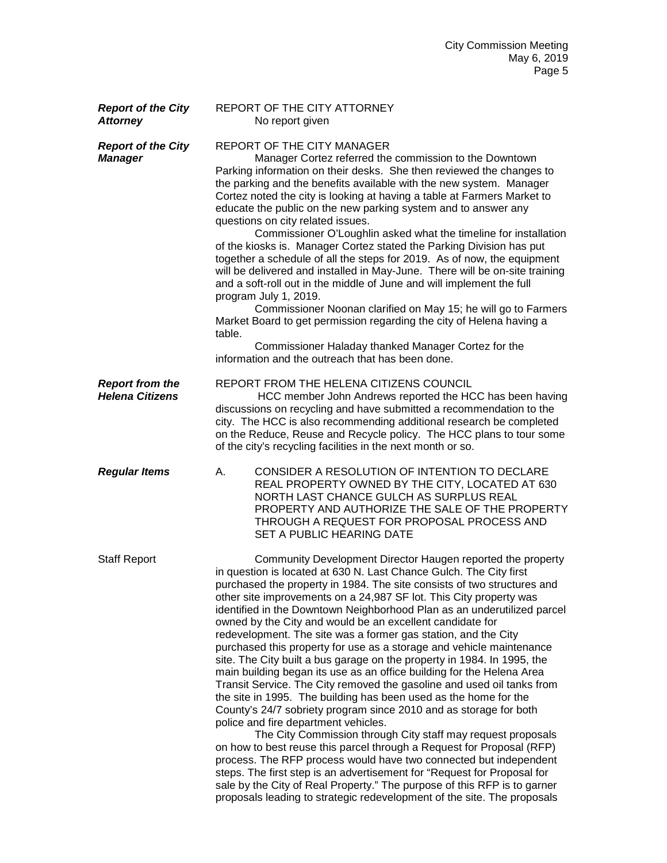| <b>Report of the City</b><br><b>Attorney</b>     | REPORT OF THE CITY ATTORNEY<br>No report given                                                                                                                                                                                                                                                                                                                                                                                                                                                                                                                                                                                                                                                                                                                                                                                                                                                                                                                                                                                                                                                                                                                                                                                                                                                                                                                                                                                      |
|--------------------------------------------------|-------------------------------------------------------------------------------------------------------------------------------------------------------------------------------------------------------------------------------------------------------------------------------------------------------------------------------------------------------------------------------------------------------------------------------------------------------------------------------------------------------------------------------------------------------------------------------------------------------------------------------------------------------------------------------------------------------------------------------------------------------------------------------------------------------------------------------------------------------------------------------------------------------------------------------------------------------------------------------------------------------------------------------------------------------------------------------------------------------------------------------------------------------------------------------------------------------------------------------------------------------------------------------------------------------------------------------------------------------------------------------------------------------------------------------------|
| <b>Report of the City</b><br><b>Manager</b>      | <b>REPORT OF THE CITY MANAGER</b><br>Manager Cortez referred the commission to the Downtown<br>Parking information on their desks. She then reviewed the changes to<br>the parking and the benefits available with the new system. Manager<br>Cortez noted the city is looking at having a table at Farmers Market to<br>educate the public on the new parking system and to answer any<br>questions on city related issues.<br>Commissioner O'Loughlin asked what the timeline for installation<br>of the kiosks is. Manager Cortez stated the Parking Division has put<br>together a schedule of all the steps for 2019. As of now, the equipment<br>will be delivered and installed in May-June. There will be on-site training<br>and a soft-roll out in the middle of June and will implement the full<br>program July 1, 2019.<br>Commissioner Noonan clarified on May 15; he will go to Farmers<br>Market Board to get permission regarding the city of Helena having a<br>table.<br>Commissioner Haladay thanked Manager Cortez for the<br>information and the outreach that has been done.                                                                                                                                                                                                                                                                                                                                 |
| <b>Report from the</b><br><b>Helena Citizens</b> | REPORT FROM THE HELENA CITIZENS COUNCIL<br>HCC member John Andrews reported the HCC has been having<br>discussions on recycling and have submitted a recommendation to the<br>city. The HCC is also recommending additional research be completed<br>on the Reduce, Reuse and Recycle policy. The HCC plans to tour some<br>of the city's recycling facilities in the next month or so.                                                                                                                                                                                                                                                                                                                                                                                                                                                                                                                                                                                                                                                                                                                                                                                                                                                                                                                                                                                                                                             |
| <b>Regular Items</b>                             | CONSIDER A RESOLUTION OF INTENTION TO DECLARE<br>А.<br>REAL PROPERTY OWNED BY THE CITY, LOCATED AT 630<br>NORTH LAST CHANCE GULCH AS SURPLUS REAL<br>PROPERTY AND AUTHORIZE THE SALE OF THE PROPERTY<br>THROUGH A REQUEST FOR PROPOSAL PROCESS AND<br>SET A PUBLIC HEARING DATE                                                                                                                                                                                                                                                                                                                                                                                                                                                                                                                                                                                                                                                                                                                                                                                                                                                                                                                                                                                                                                                                                                                                                     |
| <b>Staff Report</b>                              | Community Development Director Haugen reported the property<br>in question is located at 630 N. Last Chance Gulch. The City first<br>purchased the property in 1984. The site consists of two structures and<br>other site improvements on a 24,987 SF lot. This City property was<br>identified in the Downtown Neighborhood Plan as an underutilized parcel<br>owned by the City and would be an excellent candidate for<br>redevelopment. The site was a former gas station, and the City<br>purchased this property for use as a storage and vehicle maintenance<br>site. The City built a bus garage on the property in 1984. In 1995, the<br>main building began its use as an office building for the Helena Area<br>Transit Service. The City removed the gasoline and used oil tanks from<br>the site in 1995. The building has been used as the home for the<br>County's 24/7 sobriety program since 2010 and as storage for both<br>police and fire department vehicles.<br>The City Commission through City staff may request proposals<br>on how to best reuse this parcel through a Request for Proposal (RFP)<br>process. The RFP process would have two connected but independent<br>steps. The first step is an advertisement for "Request for Proposal for<br>sale by the City of Real Property." The purpose of this RFP is to garner<br>proposals leading to strategic redevelopment of the site. The proposals |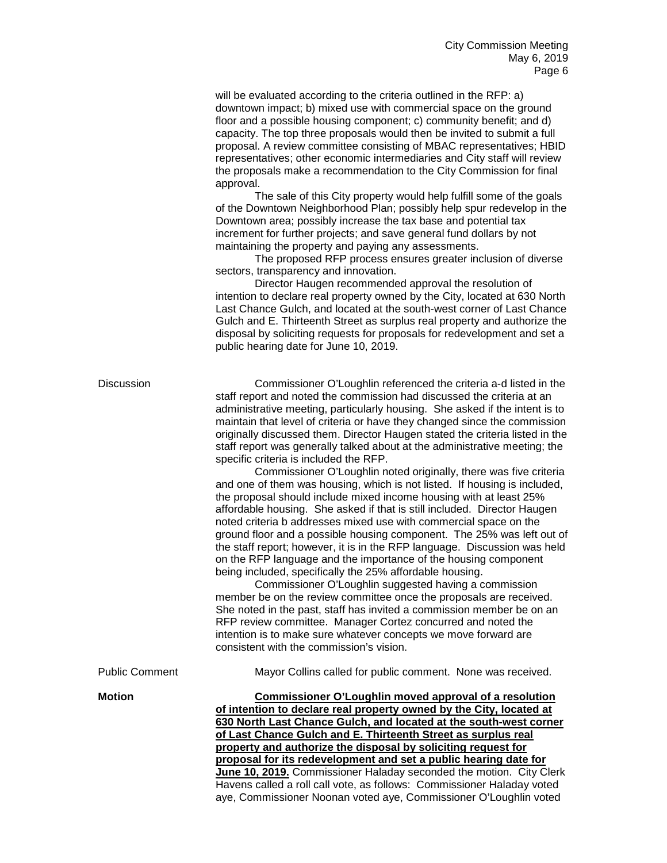will be evaluated according to the criteria outlined in the RFP: a) downtown impact; b) mixed use with commercial space on the ground floor and a possible housing component; c) community benefit; and d) capacity. The top three proposals would then be invited to submit a full proposal. A review committee consisting of MBAC representatives; HBID representatives; other economic intermediaries and City staff will review the proposals make a recommendation to the City Commission for final approval.

The sale of this City property would help fulfill some of the goals of the Downtown Neighborhood Plan; possibly help spur redevelop in the Downtown area; possibly increase the tax base and potential tax increment for further projects; and save general fund dollars by not maintaining the property and paying any assessments.

The proposed RFP process ensures greater inclusion of diverse sectors, transparency and innovation.

Director Haugen recommended approval the resolution of intention to declare real property owned by the City, located at 630 North Last Chance Gulch, and located at the south-west corner of Last Chance Gulch and E. Thirteenth Street as surplus real property and authorize the disposal by soliciting requests for proposals for redevelopment and set a public hearing date for June 10, 2019.

| <b>Discussion</b>     | Commissioner O'Loughlin referenced the criteria a-d listed in the<br>staff report and noted the commission had discussed the criteria at an<br>administrative meeting, particularly housing. She asked if the intent is to<br>maintain that level of criteria or have they changed since the commission<br>originally discussed them. Director Haugen stated the criteria listed in the<br>staff report was generally talked about at the administrative meeting; the<br>specific criteria is included the RFP.<br>Commissioner O'Loughlin noted originally, there was five criteria<br>and one of them was housing, which is not listed. If housing is included,<br>the proposal should include mixed income housing with at least 25%<br>affordable housing. She asked if that is still included. Director Haugen<br>noted criteria b addresses mixed use with commercial space on the<br>ground floor and a possible housing component. The 25% was left out of<br>the staff report; however, it is in the RFP language. Discussion was held<br>on the RFP language and the importance of the housing component<br>being included, specifically the 25% affordable housing.<br>Commissioner O'Loughlin suggested having a commission<br>member be on the review committee once the proposals are received.<br>She noted in the past, staff has invited a commission member be on an<br>RFP review committee. Manager Cortez concurred and noted the<br>intention is to make sure whatever concepts we move forward are |
|-----------------------|---------------------------------------------------------------------------------------------------------------------------------------------------------------------------------------------------------------------------------------------------------------------------------------------------------------------------------------------------------------------------------------------------------------------------------------------------------------------------------------------------------------------------------------------------------------------------------------------------------------------------------------------------------------------------------------------------------------------------------------------------------------------------------------------------------------------------------------------------------------------------------------------------------------------------------------------------------------------------------------------------------------------------------------------------------------------------------------------------------------------------------------------------------------------------------------------------------------------------------------------------------------------------------------------------------------------------------------------------------------------------------------------------------------------------------------------------------------------------------------------------------------------------|
|                       | consistent with the commission's vision.                                                                                                                                                                                                                                                                                                                                                                                                                                                                                                                                                                                                                                                                                                                                                                                                                                                                                                                                                                                                                                                                                                                                                                                                                                                                                                                                                                                                                                                                                  |
| <b>Public Comment</b> | Mayor Collins called for public comment. None was received.                                                                                                                                                                                                                                                                                                                                                                                                                                                                                                                                                                                                                                                                                                                                                                                                                                                                                                                                                                                                                                                                                                                                                                                                                                                                                                                                                                                                                                                               |
| <b>Motion</b>         | <b>Commissioner O'Loughlin moved approval of a resolution</b><br>of intention to declare real property owned by the City, located at<br>630 North Last Chance Gulch, and located at the south-west corner<br>of Last Chance Gulch and E. Thirteenth Street as surplus real<br>property and authorize the disposal by soliciting request for<br>proposal for its redevelopment and set a public hearing date for<br>June 10, 2019. Commissioner Haladay seconded the motion. City Clerk<br>Havens called a roll call vote, as follows: Commissioner Haladay voted<br>aye, Commissioner Noonan voted aye, Commissioner O'Loughlin voted                                                                                                                                                                                                                                                                                                                                                                                                                                                                                                                                                                                                                                                                                                                                                                                                                                                                                     |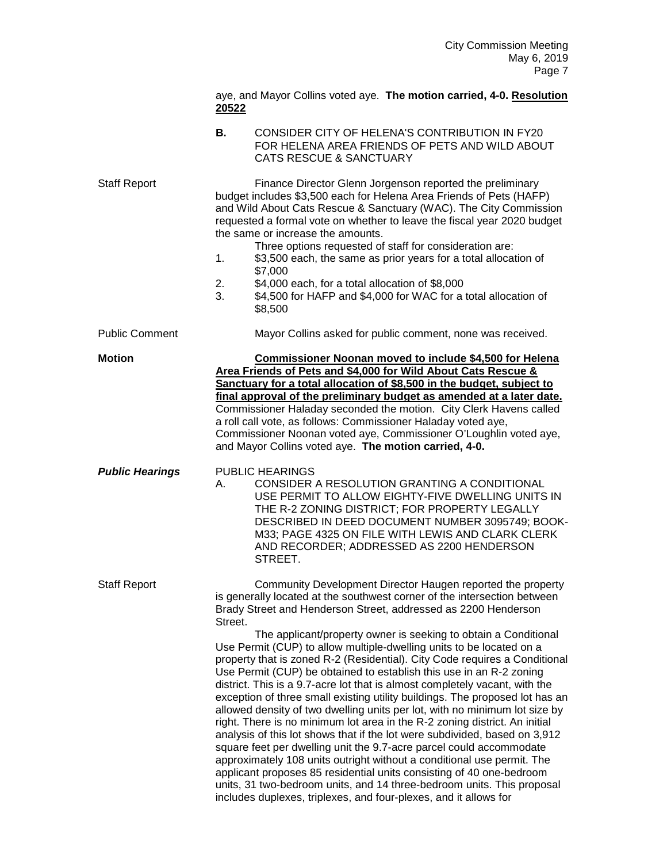|                        | aye, and Mayor Collins voted aye. The motion carried, 4-0. Resolution<br>20522                                                                                                                                                                                                                                                                                                                                                                                                                                                                                                                                                                                                                                                                                                                                                                                                                                                                                                                                                                                                                                                                                                                                                   |
|------------------------|----------------------------------------------------------------------------------------------------------------------------------------------------------------------------------------------------------------------------------------------------------------------------------------------------------------------------------------------------------------------------------------------------------------------------------------------------------------------------------------------------------------------------------------------------------------------------------------------------------------------------------------------------------------------------------------------------------------------------------------------------------------------------------------------------------------------------------------------------------------------------------------------------------------------------------------------------------------------------------------------------------------------------------------------------------------------------------------------------------------------------------------------------------------------------------------------------------------------------------|
|                        | В.<br>CONSIDER CITY OF HELENA'S CONTRIBUTION IN FY20<br>FOR HELENA AREA FRIENDS OF PETS AND WILD ABOUT<br><b>CATS RESCUE &amp; SANCTUARY</b>                                                                                                                                                                                                                                                                                                                                                                                                                                                                                                                                                                                                                                                                                                                                                                                                                                                                                                                                                                                                                                                                                     |
| <b>Staff Report</b>    | Finance Director Glenn Jorgenson reported the preliminary<br>budget includes \$3,500 each for Helena Area Friends of Pets (HAFP)<br>and Wild About Cats Rescue & Sanctuary (WAC). The City Commission<br>requested a formal vote on whether to leave the fiscal year 2020 budget<br>the same or increase the amounts.<br>Three options requested of staff for consideration are:<br>\$3,500 each, the same as prior years for a total allocation of<br>1.<br>\$7,000<br>\$4,000 each, for a total allocation of \$8,000<br>2.<br>3.<br>\$4,500 for HAFP and \$4,000 for WAC for a total allocation of<br>\$8,500                                                                                                                                                                                                                                                                                                                                                                                                                                                                                                                                                                                                                 |
| <b>Public Comment</b>  | Mayor Collins asked for public comment, none was received.                                                                                                                                                                                                                                                                                                                                                                                                                                                                                                                                                                                                                                                                                                                                                                                                                                                                                                                                                                                                                                                                                                                                                                       |
| <b>Motion</b>          | Commissioner Noonan moved to include \$4,500 for Helena<br>Area Friends of Pets and \$4,000 for Wild About Cats Rescue &<br>Sanctuary for a total allocation of \$8,500 in the budget, subject to<br>final approval of the preliminary budget as amended at a later date.<br>Commissioner Haladay seconded the motion. City Clerk Havens called<br>a roll call vote, as follows: Commissioner Haladay voted aye,<br>Commissioner Noonan voted aye, Commissioner O'Loughlin voted aye,<br>and Mayor Collins voted aye. The motion carried, 4-0.                                                                                                                                                                                                                                                                                                                                                                                                                                                                                                                                                                                                                                                                                   |
| <b>Public Hearings</b> | <b>PUBLIC HEARINGS</b><br>CONSIDER A RESOLUTION GRANTING A CONDITIONAL<br>А.<br>USE PERMIT TO ALLOW EIGHTY-FIVE DWELLING UNITS IN<br>THE R-2 ZONING DISTRICT; FOR PROPERTY LEGALLY<br>DESCRIBED IN DEED DOCUMENT NUMBER 3095749; BOOK-<br>M33; PAGE 4325 ON FILE WITH LEWIS AND CLARK CLERK<br>AND RECORDER; ADDRESSED AS 2200 HENDERSON<br>STREET.                                                                                                                                                                                                                                                                                                                                                                                                                                                                                                                                                                                                                                                                                                                                                                                                                                                                              |
| <b>Staff Report</b>    | Community Development Director Haugen reported the property<br>is generally located at the southwest corner of the intersection between<br>Brady Street and Henderson Street, addressed as 2200 Henderson<br>Street.<br>The applicant/property owner is seeking to obtain a Conditional<br>Use Permit (CUP) to allow multiple-dwelling units to be located on a<br>property that is zoned R-2 (Residential). City Code requires a Conditional<br>Use Permit (CUP) be obtained to establish this use in an R-2 zoning<br>district. This is a 9.7-acre lot that is almost completely vacant, with the<br>exception of three small existing utility buildings. The proposed lot has an<br>allowed density of two dwelling units per lot, with no minimum lot size by<br>right. There is no minimum lot area in the R-2 zoning district. An initial<br>analysis of this lot shows that if the lot were subdivided, based on 3,912<br>square feet per dwelling unit the 9.7-acre parcel could accommodate<br>approximately 108 units outright without a conditional use permit. The<br>applicant proposes 85 residential units consisting of 40 one-bedroom<br>units, 31 two-bedroom units, and 14 three-bedroom units. This proposal |

includes duplexes, triplexes, and four-plexes, and it allows for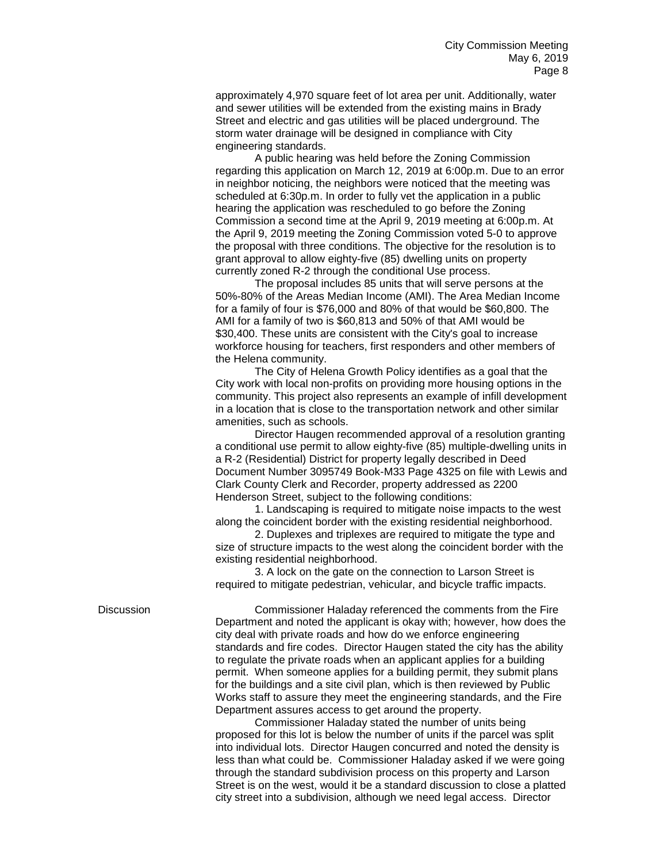approximately 4,970 square feet of lot area per unit. Additionally, water and sewer utilities will be extended from the existing mains in Brady Street and electric and gas utilities will be placed underground. The storm water drainage will be designed in compliance with City engineering standards.

A public hearing was held before the Zoning Commission regarding this application on March 12, 2019 at 6:00p.m. Due to an error in neighbor noticing, the neighbors were noticed that the meeting was scheduled at 6:30p.m. In order to fully vet the application in a public hearing the application was rescheduled to go before the Zoning Commission a second time at the April 9, 2019 meeting at 6:00p.m. At the April 9, 2019 meeting the Zoning Commission voted 5-0 to approve the proposal with three conditions. The objective for the resolution is to grant approval to allow eighty-five (85) dwelling units on property currently zoned R-2 through the conditional Use process.

The proposal includes 85 units that will serve persons at the 50%-80% of the Areas Median Income (AMI). The Area Median Income for a family of four is \$76,000 and 80% of that would be \$60,800. The AMI for a family of two is \$60,813 and 50% of that AMI would be \$30,400. These units are consistent with the City's goal to increase workforce housing for teachers, first responders and other members of the Helena community.

The City of Helena Growth Policy identifies as a goal that the City work with local non-profits on providing more housing options in the community. This project also represents an example of infill development in a location that is close to the transportation network and other similar amenities, such as schools.

Director Haugen recommended approval of a resolution granting a conditional use permit to allow eighty-five (85) multiple-dwelling units in a R-2 (Residential) District for property legally described in Deed Document Number 3095749 Book-M33 Page 4325 on file with Lewis and Clark County Clerk and Recorder, property addressed as 2200 Henderson Street, subject to the following conditions:

1. Landscaping is required to mitigate noise impacts to the west along the coincident border with the existing residential neighborhood.

2. Duplexes and triplexes are required to mitigate the type and size of structure impacts to the west along the coincident border with the existing residential neighborhood.

3. A lock on the gate on the connection to Larson Street is required to mitigate pedestrian, vehicular, and bicycle traffic impacts.

Discussion Commissioner Haladay referenced the comments from the Fire Department and noted the applicant is okay with; however, how does the city deal with private roads and how do we enforce engineering standards and fire codes. Director Haugen stated the city has the ability to regulate the private roads when an applicant applies for a building permit. When someone applies for a building permit, they submit plans for the buildings and a site civil plan, which is then reviewed by Public Works staff to assure they meet the engineering standards, and the Fire Department assures access to get around the property.

> Commissioner Haladay stated the number of units being proposed for this lot is below the number of units if the parcel was split into individual lots. Director Haugen concurred and noted the density is less than what could be. Commissioner Haladay asked if we were going through the standard subdivision process on this property and Larson Street is on the west, would it be a standard discussion to close a platted city street into a subdivision, although we need legal access. Director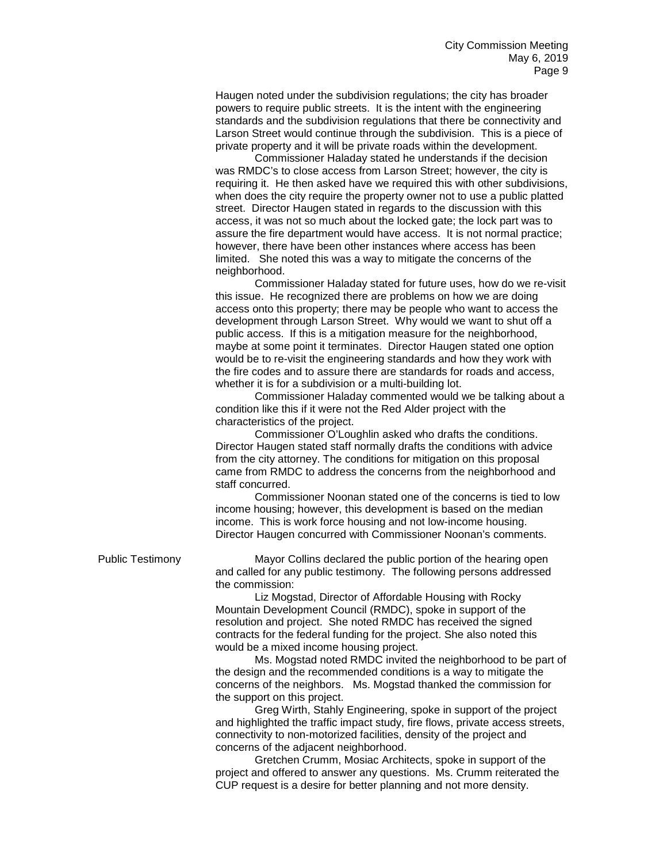Haugen noted under the subdivision regulations; the city has broader powers to require public streets. It is the intent with the engineering standards and the subdivision regulations that there be connectivity and Larson Street would continue through the subdivision. This is a piece of private property and it will be private roads within the development.

Commissioner Haladay stated he understands if the decision was RMDC's to close access from Larson Street; however, the city is requiring it. He then asked have we required this with other subdivisions, when does the city require the property owner not to use a public platted street. Director Haugen stated in regards to the discussion with this access, it was not so much about the locked gate; the lock part was to assure the fire department would have access. It is not normal practice; however, there have been other instances where access has been limited. She noted this was a way to mitigate the concerns of the neighborhood.

Commissioner Haladay stated for future uses, how do we re-visit this issue. He recognized there are problems on how we are doing access onto this property; there may be people who want to access the development through Larson Street. Why would we want to shut off a public access. If this is a mitigation measure for the neighborhood, maybe at some point it terminates. Director Haugen stated one option would be to re-visit the engineering standards and how they work with the fire codes and to assure there are standards for roads and access, whether it is for a subdivision or a multi-building lot.

Commissioner Haladay commented would we be talking about a condition like this if it were not the Red Alder project with the characteristics of the project.

Commissioner O'Loughlin asked who drafts the conditions. Director Haugen stated staff normally drafts the conditions with advice from the city attorney. The conditions for mitigation on this proposal came from RMDC to address the concerns from the neighborhood and staff concurred.

Commissioner Noonan stated one of the concerns is tied to low income housing; however, this development is based on the median income. This is work force housing and not low-income housing. Director Haugen concurred with Commissioner Noonan's comments.

Public Testimony Mayor Collins declared the public portion of the hearing open and called for any public testimony. The following persons addressed the commission:

> Liz Mogstad, Director of Affordable Housing with Rocky Mountain Development Council (RMDC), spoke in support of the resolution and project. She noted RMDC has received the signed contracts for the federal funding for the project. She also noted this would be a mixed income housing project.

Ms. Mogstad noted RMDC invited the neighborhood to be part of the design and the recommended conditions is a way to mitigate the concerns of the neighbors. Ms. Mogstad thanked the commission for the support on this project.

Greg Wirth, Stahly Engineering, spoke in support of the project and highlighted the traffic impact study, fire flows, private access streets, connectivity to non-motorized facilities, density of the project and concerns of the adjacent neighborhood.

Gretchen Crumm, Mosiac Architects, spoke in support of the project and offered to answer any questions. Ms. Crumm reiterated the CUP request is a desire for better planning and not more density.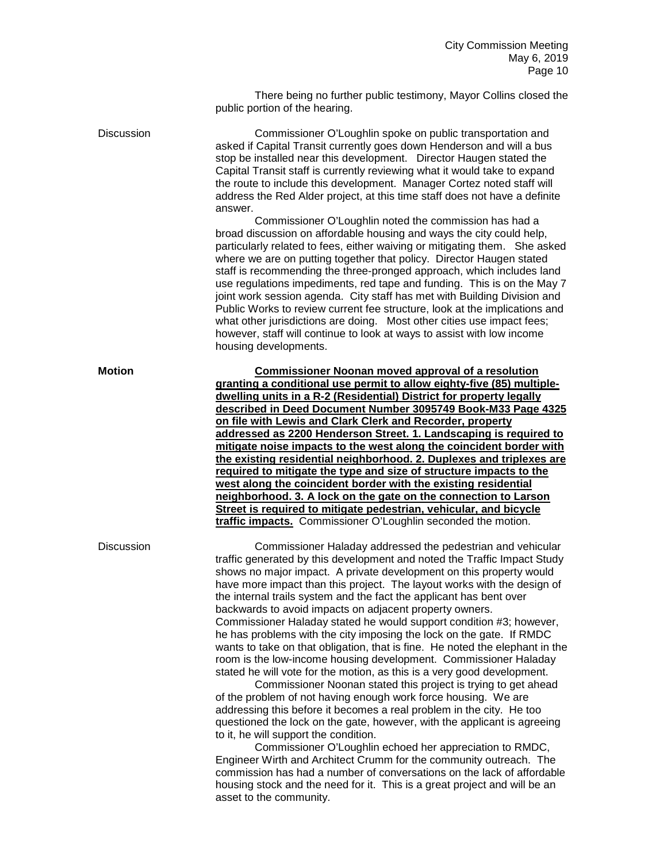There being no further public testimony, Mayor Collins closed the public portion of the hearing.

Discussion Commissioner O'Loughlin spoke on public transportation and asked if Capital Transit currently goes down Henderson and will a bus stop be installed near this development. Director Haugen stated the Capital Transit staff is currently reviewing what it would take to expand the route to include this development. Manager Cortez noted staff will address the Red Alder project, at this time staff does not have a definite answer.

Commissioner O'Loughlin noted the commission has had a broad discussion on affordable housing and ways the city could help, particularly related to fees, either waiving or mitigating them. She asked where we are on putting together that policy. Director Haugen stated staff is recommending the three-pronged approach, which includes land use regulations impediments, red tape and funding. This is on the May 7 joint work session agenda. City staff has met with Building Division and Public Works to review current fee structure, look at the implications and what other jurisdictions are doing. Most other cities use impact fees; however, staff will continue to look at ways to assist with low income housing developments.

**Motion Commissioner Noonan moved approval of a resolution granting a conditional use permit to allow eighty-five (85) multipledwelling units in a R-2 (Residential) District for property legally described in Deed Document Number 3095749 Book-M33 Page 4325 on file with Lewis and Clark Clerk and Recorder, property addressed as 2200 Henderson Street. 1. Landscaping is required to mitigate noise impacts to the west along the coincident border with the existing residential neighborhood. 2. Duplexes and triplexes are required to mitigate the type and size of structure impacts to the west along the coincident border with the existing residential neighborhood. 3. A lock on the gate on the connection to Larson Street is required to mitigate pedestrian, vehicular, and bicycle traffic impacts.** Commissioner O'Loughlin seconded the motion.

Discussion Commissioner Haladay addressed the pedestrian and vehicular traffic generated by this development and noted the Traffic Impact Study shows no major impact. A private development on this property would have more impact than this project. The layout works with the design of the internal trails system and the fact the applicant has bent over backwards to avoid impacts on adjacent property owners. Commissioner Haladay stated he would support condition #3; however, he has problems with the city imposing the lock on the gate. If RMDC wants to take on that obligation, that is fine. He noted the elephant in the room is the low-income housing development. Commissioner Haladay stated he will vote for the motion, as this is a very good development.

Commissioner Noonan stated this project is trying to get ahead of the problem of not having enough work force housing. We are addressing this before it becomes a real problem in the city. He too questioned the lock on the gate, however, with the applicant is agreeing to it, he will support the condition.

Commissioner O'Loughlin echoed her appreciation to RMDC, Engineer Wirth and Architect Crumm for the community outreach. The commission has had a number of conversations on the lack of affordable housing stock and the need for it. This is a great project and will be an asset to the community.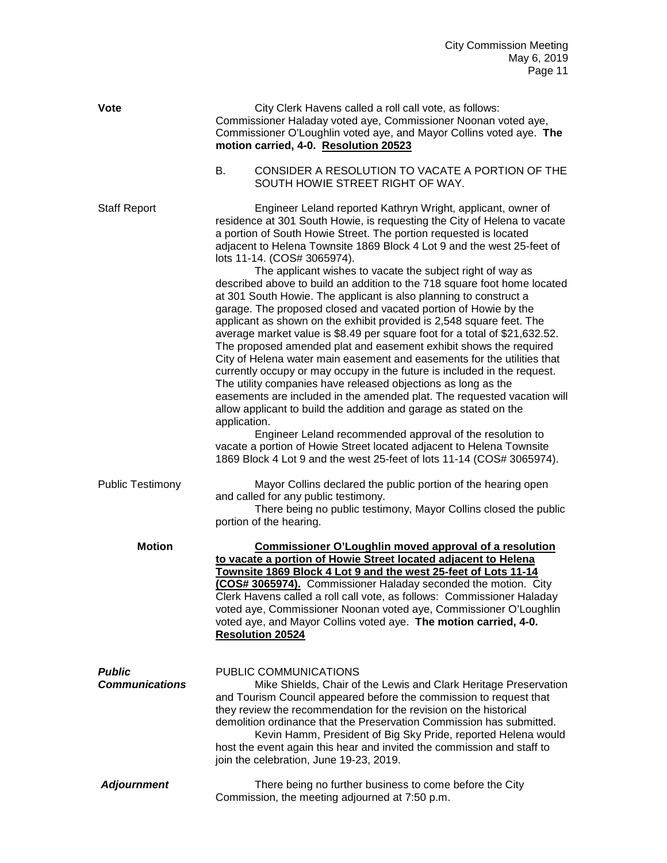| <b>Vote</b>                            |              | City Clerk Havens called a roll call vote, as follows:<br>Commissioner Haladay voted aye, Commissioner Noonan voted aye,<br>Commissioner O'Loughlin voted aye, and Mayor Collins voted aye. The<br>motion carried, 4-0. Resolution 20523                                                                                                                                                                                                                                                                                                                                                                                                                                                                                                                                                                                                                                                                                                                                                                                                                                                                                                                                                                                                                                                                                                                                                                                  |
|----------------------------------------|--------------|---------------------------------------------------------------------------------------------------------------------------------------------------------------------------------------------------------------------------------------------------------------------------------------------------------------------------------------------------------------------------------------------------------------------------------------------------------------------------------------------------------------------------------------------------------------------------------------------------------------------------------------------------------------------------------------------------------------------------------------------------------------------------------------------------------------------------------------------------------------------------------------------------------------------------------------------------------------------------------------------------------------------------------------------------------------------------------------------------------------------------------------------------------------------------------------------------------------------------------------------------------------------------------------------------------------------------------------------------------------------------------------------------------------------------|
|                                        | <b>B.</b>    | CONSIDER A RESOLUTION TO VACATE A PORTION OF THE<br>SOUTH HOWIE STREET RIGHT OF WAY.                                                                                                                                                                                                                                                                                                                                                                                                                                                                                                                                                                                                                                                                                                                                                                                                                                                                                                                                                                                                                                                                                                                                                                                                                                                                                                                                      |
| <b>Staff Report</b>                    | application. | Engineer Leland reported Kathryn Wright, applicant, owner of<br>residence at 301 South Howie, is requesting the City of Helena to vacate<br>a portion of South Howie Street. The portion requested is located<br>adjacent to Helena Townsite 1869 Block 4 Lot 9 and the west 25-feet of<br>lots 11-14. (COS# 3065974).<br>The applicant wishes to vacate the subject right of way as<br>described above to build an addition to the 718 square foot home located<br>at 301 South Howie. The applicant is also planning to construct a<br>garage. The proposed closed and vacated portion of Howie by the<br>applicant as shown on the exhibit provided is 2,548 square feet. The<br>average market value is \$8.49 per square foot for a total of \$21,632.52.<br>The proposed amended plat and easement exhibit shows the required<br>City of Helena water main easement and easements for the utilities that<br>currently occupy or may occupy in the future is included in the request.<br>The utility companies have released objections as long as the<br>easements are included in the amended plat. The requested vacation will<br>allow applicant to build the addition and garage as stated on the<br>Engineer Leland recommended approval of the resolution to<br>vacate a portion of Howie Street located adjacent to Helena Townsite<br>1869 Block 4 Lot 9 and the west 25-feet of lots 11-14 (COS# 3065974). |
| <b>Public Testimony</b>                |              | Mayor Collins declared the public portion of the hearing open<br>and called for any public testimony.<br>There being no public testimony, Mayor Collins closed the public<br>portion of the hearing.                                                                                                                                                                                                                                                                                                                                                                                                                                                                                                                                                                                                                                                                                                                                                                                                                                                                                                                                                                                                                                                                                                                                                                                                                      |
| <b>Motion</b>                          |              | <b>Commissioner O'Loughlin moved approval of a resolution</b><br>to vacate a portion of Howie Street located adjacent to Helena<br>Townsite 1869 Block 4 Lot 9 and the west 25-feet of Lots 11-14<br>COS# 3065974). Commissioner Haladay seconded the motion. City<br>Clerk Havens called a roll call vote, as follows: Commissioner Haladay<br>voted aye, Commissioner Noonan voted aye, Commissioner O'Loughlin<br>voted aye, and Mayor Collins voted aye. The motion carried, 4-0.<br><b>Resolution 20524</b>                                                                                                                                                                                                                                                                                                                                                                                                                                                                                                                                                                                                                                                                                                                                                                                                                                                                                                          |
| <b>Public</b><br><b>Communications</b> |              | PUBLIC COMMUNICATIONS<br>Mike Shields, Chair of the Lewis and Clark Heritage Preservation<br>and Tourism Council appeared before the commission to request that<br>they review the recommendation for the revision on the historical<br>demolition ordinance that the Preservation Commission has submitted.<br>Kevin Hamm, President of Big Sky Pride, reported Helena would<br>host the event again this hear and invited the commission and staff to<br>join the celebration, June 19-23, 2019.                                                                                                                                                                                                                                                                                                                                                                                                                                                                                                                                                                                                                                                                                                                                                                                                                                                                                                                        |
| <b>Adjournment</b>                     |              | There being no further business to come before the City<br>Commission, the meeting adjourned at 7:50 p.m.                                                                                                                                                                                                                                                                                                                                                                                                                                                                                                                                                                                                                                                                                                                                                                                                                                                                                                                                                                                                                                                                                                                                                                                                                                                                                                                 |